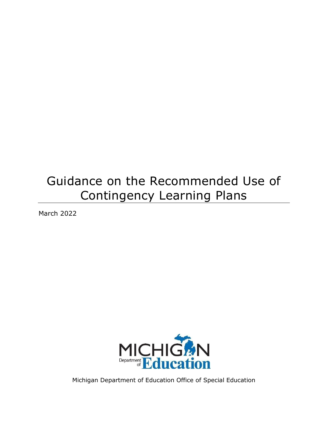# Guidance on the Recommended Use of Contingency Learning Plans

March 2022



Michigan Department of Education Office of Special Education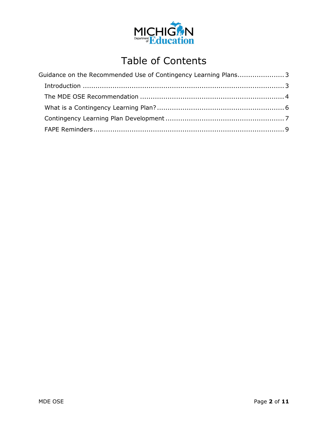

## Table of Contents

| Guidance on the Recommended Use of Contingency Learning Plans3 |  |
|----------------------------------------------------------------|--|
|                                                                |  |
|                                                                |  |
|                                                                |  |
|                                                                |  |
|                                                                |  |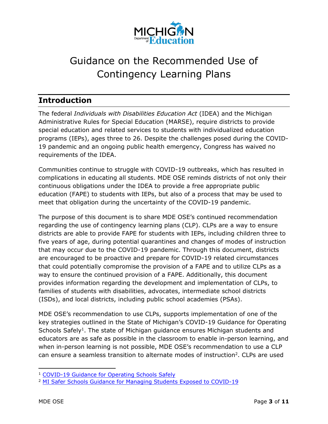

## <span id="page-2-0"></span>Guidance on the Recommended Use of Contingency Learning Plans

### <span id="page-2-1"></span>**Introduction**

The federal *Individuals with Disabilities Education Act* (IDEA) and the Michigan Administrative Rules for Special Education (MARSE), require districts to provide special education and related services to students with individualized education programs (IEPs), ages three to 26. Despite the challenges posed during the COVID-19 pandemic and an ongoing public health emergency, Congress has waived no requirements of the IDEA.

Communities continue to struggle with COVID-19 outbreaks, which has resulted in complications in educating all students. MDE OSE reminds districts of not only their continuous obligations under the IDEA to provide a free appropriate public education (FAPE) to students with IEPs, but also of a process that may be used to meet that obligation during the uncertainty of the COVID-19 pandemic.

The purpose of this document is to share MDE OSE's continued recommendation regarding the use of contingency learning plans (CLP). CLPs are a way to ensure districts are able to provide FAPE for students with IEPs, including children three to five years of age, during potential quarantines and changes of modes of instruction that may occur due to the COVID-19 pandemic. Through this document, districts are encouraged to be proactive and prepare for COVID-19 related circumstances that could potentially compromise the provision of a FAPE and to utilize CLPs as a way to ensure the continued provision of a FAPE. Additionally, this document provides information regarding the development and implementation of CLPs, to families of students with disabilities, advocates, intermediate school districts (ISDs), and local districts, including public school academies (PSAs).

MDE OSE's recommendation to use CLPs, supports implementation of one of the key strategies outlined in the State of Michigan's COVID-19 Guidance for Operating Schools Safely<sup>[1](#page-2-2)</sup>. The state of Michigan guidance ensures Michigan students and educators are as safe as possible in the classroom to enable in-person learning, and when in-person learning is not possible, MDE OSE's recommendation to use a CLP can ensure a seamless transition to alternate modes of instruction<sup>[2](#page-2-3)</sup>. CLPs are used

<span id="page-2-2"></span>l <sup>1</sup> [COVID-19 Guidance for Operating Schools Safely](https://www.michigan.gov/documents/coronavirus/COVID-19_Guidance_for_Operating_Schools_Safely_728838_7.pdf)

<span id="page-2-3"></span><sup>&</sup>lt;sup>2</sup> [MI Safer Schools Guidance for Managing Students Exposed to COVID-19](https://www.michigan.gov/documents/coronavirus/MI_Safer_Schools_Guidance_for_Managing_Students_Exposed_to_COVID-19_734750_7.pdf)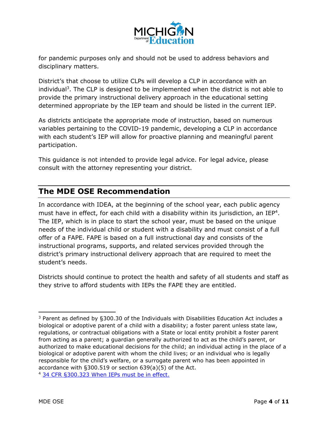

for pandemic purposes only and should not be used to address behaviors and disciplinary matters.

District's that choose to utilize CLPs will develop a CLP in accordance with an individual [3](#page-3-1) . The CLP is designed to be implemented when the district is not able to provide the primary instructional delivery approach in the educational setting determined appropriate by the IEP team and should be listed in the current IEP.

As districts anticipate the appropriate mode of instruction, based on numerous variables pertaining to the COVID-19 pandemic, developing a CLP in accordance with each student's IEP will allow for proactive planning and meaningful parent participation.

This guidance is not intended to provide legal advice. For legal advice, please consult with the attorney representing your district.

#### <span id="page-3-0"></span>**The MDE OSE Recommendation**

In accordance with IDEA, at the beginning of the school year, each public agency must have in effect, for each child with a disability within its jurisdiction, an IEP<sup>[4](#page-3-2)</sup>. The IEP, which is in place to start the school year, must be based on the unique needs of the individual child or student with a disability and must consist of a full offer of a FAPE. FAPE is based on a full instructional day and consists of the instructional programs, supports, and related services provided through the district's primary instructional delivery approach that are required to meet the student's needs.

Districts should continue to protect the health and safety of all students and staff as they strive to afford students with IEPs the FAPE they are entitled.

<span id="page-3-2"></span><sup>4</sup> [34 CFR §300.323 When IEPs must be in effect.](https://sites.ed.gov/idea/regs/b/d/300.323)

<span id="page-3-1"></span><sup>1</sup> <sup>3</sup> Parent as defined by §300.30 of the Individuals with Disabilities Education Act includes a biological or adoptive parent of a child with a disability; a foster parent unless state law, regulations, or contractual obligations with a State or local entity prohibit a foster parent from acting as a parent; a guardian generally authorized to act as the child's parent, or authorized to make educational decisions for the child; an individual acting in the place of a biological or adoptive parent with whom the child lives; or an individual who is legally responsible for the child's welfare, or a surrogate parent who has been appointed in accordance with §300.519 or section 639(a)(5) of the Act.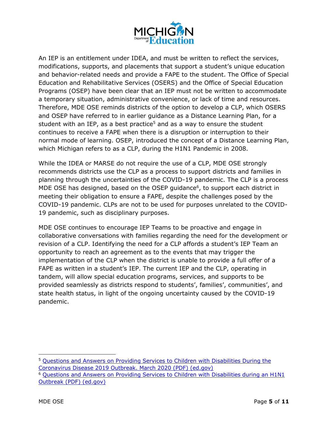

An IEP is an entitlement under IDEA, and must be written to reflect the services, modifications, supports, and placements that support a student's unique education and behavior-related needs and provide a FAPE to the student. The Office of Special Education and Rehabilitative Services (OSERS) and the Office of Special Education Programs (OSEP) have been clear that an IEP must not be written to accommodate a temporary situation, administrative convenience, or lack of time and resources. Therefore, MDE OSE reminds districts of the option to develop a CLP, which OSERS and OSEP have referred to in earlier guidance as a Distance Learning Plan, for a student with an IEP, as a best practice<sup>[5](#page-4-0)</sup> and as a way to ensure the student continues to receive a FAPE when there is a disruption or interruption to their normal mode of learning. OSEP, introduced the concept of a Distance Learning Plan, which Michigan refers to as a CLP, during the H1N1 Pandemic in 2008.

While the IDEA or MARSE do not require the use of a CLP, MDE OSE strongly recommends districts use the CLP as a process to support districts and families in planning through the uncertainties of the COVID-19 pandemic. The CLP is a process MDE OSE has designed, based on the OSEP guidance $6$ , to support each district in meeting their obligation to ensure a FAPE, despite the challenges posed by the COVID-19 pandemic. CLPs are not to be used for purposes unrelated to the COVID-19 pandemic, such as disciplinary purposes.

MDE OSE continues to encourage IEP Teams to be proactive and engage in collaborative conversations with families regarding the need for the development or revision of a CLP. Identifying the need for a CLP affords a student's IEP Team an opportunity to reach an agreement as to the events that may trigger the implementation of the CLP when the district is unable to provide a full offer of a FAPE as written in a student's IEP. The current IEP and the CLP, operating in tandem, will allow special education programs, services, and supports to be provided seamlessly as districts respond to students', families', communities', and state health status, in light of the ongoing uncertainty caused by the COVID-19 pandemic.

<span id="page-4-0"></span><sup>-</sup><sup>5</sup> Questions and Answers on Providing Services to Children with Disabilities During the [Coronavirus Disease 2019 Outbreak. March 2020 \(PDF\) \(ed.gov\)](https://sites.ed.gov/idea/files/qa-covid-19-03-12-2020.pdf)

<span id="page-4-1"></span><sup>6</sup> [Questions and Answers on Providing Services to Children with Disabilities during an H1N1](https://www2.ed.gov/policy/speced/guid/idea/h1n1-idea-qa.pdf)  [Outbreak \(PDF\) \(ed.gov\)](https://www2.ed.gov/policy/speced/guid/idea/h1n1-idea-qa.pdf)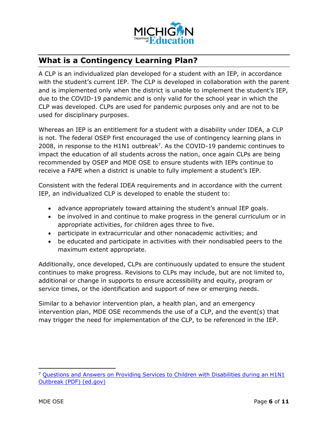

### <span id="page-5-0"></span>**What is a Contingency Learning Plan?**

A CLP is an individualized plan developed for a student with an IEP, in accordance with the student's current IEP. The CLP is developed in collaboration with the parent and is implemented only when the district is unable to implement the student's IEP, due to the COVID-19 pandemic and is only valid for the school year in which the CLP was developed. CLPs are used for pandemic purposes only and are not to be used for disciplinary purposes.

Whereas an IEP is an entitlement for a student with a disability under IDEA, a CLP is not. The federal OSEP first encouraged the use of contingency learning plans in 2008, in response to the H1N1 outbreak<sup>[7](#page-5-1)</sup>. As the COVID-19 pandemic continues to impact the education of all students across the nation, once again CLPs are being recommended by OSEP and MDE OSE to ensure students with IEPs continue to receive a FAPE when a district is unable to fully implement a student's IEP.

Consistent with the federal IDEA requirements and in accordance with the current IEP, an individualized CLP is developed to enable the student to:

- · advance appropriately toward attaining the student's annual IEP goals.
- · be involved in and continue to make progress in the general curriculum or in appropriate activities, for children ages three to five.
- · participate in extracurricular and other nonacademic activities; and
- · be educated and participate in activities with their nondisabled peers to the maximum extent appropriate.

Additionally, once developed, CLPs are continuously updated to ensure the student continues to make progress. Revisions to CLPs may include, but are not limited to, additional or change in supports to ensure accessibility and equity, program or service times, or the identification and support of new or emerging needs.

Similar to a behavior intervention plan, a health plan, and an emergency intervention plan, MDE OSE recommends the use of a CLP, and the event(s) that may trigger the need for implementation of the CLP, to be referenced in the IEP.

<span id="page-5-1"></span>l <sup>7</sup> [Questions and Answers on Providing Services to Children with Disabilities during an H1N1](https://www2.ed.gov/policy/speced/guid/idea/h1n1-idea-qa.pdf)  [Outbreak \(PDF\) \(ed.gov\)](https://www2.ed.gov/policy/speced/guid/idea/h1n1-idea-qa.pdf)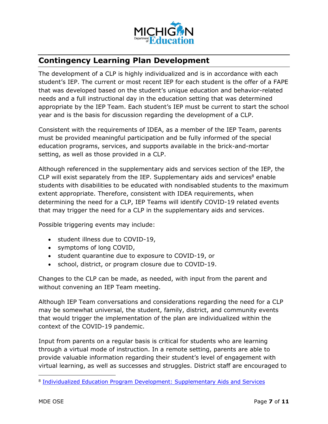

### <span id="page-6-0"></span>**Contingency Learning Plan Development**

The development of a CLP is highly individualized and is in accordance with each student's IEP. The current or most recent IEP for each student is the offer of a FAPE that was developed based on the student's unique education and behavior-related needs and a full instructional day in the education setting that was determined appropriate by the IEP Team. Each student's IEP must be current to start the school year and is the basis for discussion regarding the development of a CLP.

Consistent with the requirements of IDEA, as a member of the IEP Team, parents must be provided meaningful participation and be fully informed of the special education programs, services, and supports available in the brick-and-mortar setting, as well as those provided in a CLP.

Although referenced in the supplementary aids and services section of the IEP, the CLP will exist separately from the IEP. Supplementary aids and services $8$  enable students with disabilities to be educated with nondisabled students to the maximum extent appropriate. Therefore, consistent with IDEA requirements, when determining the need for a CLP, IEP Teams will identify COVID-19 related events that may trigger the need for a CLP in the supplementary aids and services.

Possible triggering events may include:

- · student illness due to COVID-19,
- · symptoms of long COVID,
- · student quarantine due to exposure to COVID-19, or
- · school, district, or program closure due to COVID-19.

Changes to the CLP can be made, as needed, with input from the parent and without convening an IEP Team meeting.

Although IEP Team conversations and considerations regarding the need for a CLP may be somewhat universal, the student, family, district, and community events that would trigger the implementation of the plan are individualized within the context of the COVID-19 pandemic.

Input from parents on a regular basis is critical for students who are learning through a virtual mode of instruction. In a remote setting, parents are able to provide valuable information regarding their student's level of engagement with virtual learning, as well as successes and struggles. District staff are encouraged to

-

<span id="page-6-1"></span><sup>&</sup>lt;sup>8</sup> [Individualized Education Program Development: Supplementary Aids and Services](https://www.michigan.gov/documents/mde/SupplementaryAidsServices_707704_7.pdf#:~:text=Frequency%2C%20Location%2C%20Duration%20The%20IDEA%20further%20requires%20supplementary,those%20services%20and%20modifications.%2034%20CFR%20%C2%A7300.320%28a%29%287%29.%20Frequency)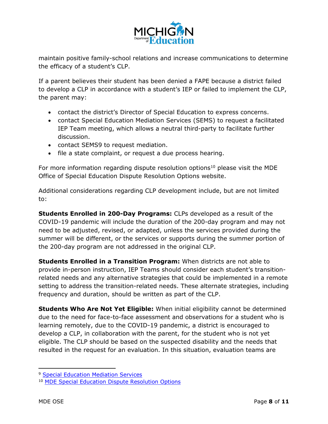

maintain positive family-school relations and increase communications to determine the efficacy of a student's CLP.

If a parent believes their student has been denied a FAPE because a district failed to develop a CLP in accordance with a student's IEP or failed to implement the CLP, the parent may:

- · contact the district's Director of Special Education to express concerns.
- · contact Special Education Mediation Services (SEMS) to request a facilitated IEP Team meeting, which allows a neutral third-party to facilitate further discussion.
- · contact SEM[S9](#page-7-0) to request mediation.
- · file a state complaint, or request a due process hearing.

For more information regarding dispute resolution options<sup>[10](#page-7-1)</sup> please visit the MDE Office of Special Education Dispute Resolution Options website.

Additional considerations regarding CLP development include, but are not limited to:

**Students Enrolled in 200-Day Programs:** CLPs developed as a result of the COVID-19 pandemic will include the duration of the 200-day program and may not need to be adjusted, revised, or adapted, unless the services provided during the summer will be different, or the services or supports during the summer portion of the 200-day program are not addressed in the original CLP.

**Students Enrolled in a Transition Program:** When districts are not able to provide in-person instruction, IEP Teams should consider each student's transitionrelated needs and any alternative strategies that could be implemented in a remote setting to address the transition-related needs. These alternate strategies, including frequency and duration, should be written as part of the CLP.

**Students Who Are Not Yet Eligible:** When initial eligibility cannot be determined due to the need for face-to-face assessment and observations for a student who is learning remotely, due to the COVID-19 pandemic, a district is encouraged to develop a CLP, in collaboration with the parent, for the student who is not yet eligible. The CLP should be based on the suspected disability and the needs that resulted in the request for an evaluation. In this situation, evaluation teams are

<span id="page-7-0"></span>l <sup>9</sup> [Special Education Mediation Services](https://mikids1st.org/)

<span id="page-7-1"></span><sup>10</sup> MDE Special Education [Dispute Resolution Options](https://www.michigan.gov/mde/0,4615,7-140-6598_88185---,00.html)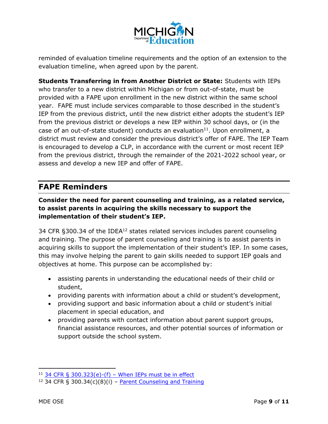

reminded of evaluation timeline requirements and the option of an extension to the evaluation timeline, when agreed upon by the parent.

**Students Transferring in from Another District or State:** Students with IEPs who transfer to a new district within Michigan or from out-of-state, must be provided with a FAPE upon enrollment in the new district within the same school year. FAPE must include services comparable to those described in the student's IEP from the previous district, until the new district either adopts the student's IEP from the previous district or develops a new IEP within 30 school days, or (in the case of an out-of-state student) conducts an evaluation<sup>[11](#page-8-1)</sup>. Upon enrollment, a district must review and consider the previous district's offer of FAPE. The IEP Team is encouraged to develop a CLP, in accordance with the current or most recent IEP from the previous district, through the remainder of the 2021-2022 school year, or assess and develop a new IEP and offer of FAPE.

#### <span id="page-8-0"></span>**FAPE Reminders**

#### **Consider the need for parent counseling and training, as a related service, to assist parents in acquiring the skills necessary to support the implementation of their student's IEP.**

34 CFR  $$300.34$  of the IDEA<sup>[12](#page-8-2)</sup> states related services includes parent counseling and training. The purpose of parent counseling and training is to assist parents in acquiring skills to support the implementation of their student's IEP. In some cases, this may involve helping the parent to gain skills needed to support IEP goals and objectives at home. This purpose can be accomplished by:

- · assisting parents in understanding the educational needs of their child or student,
- · providing parents with information about a child or student's development,
- · providing support and basic information about a child or student's initial placement in special education, and
- · providing parents with contact information about parent support groups, financial assistance resources, and other potential sources of information or support outside the school system.

<span id="page-8-1"></span>l <sup>11</sup> 34 CFR § 300.323(e)-(f) – [When IEPs must be in effect](https://sites.ed.gov/idea/regs/b/d/300.323)

<span id="page-8-2"></span><sup>&</sup>lt;sup>12</sup> 34 CFR § 300.34(c)(8)(i) – **[Parent Counseling and Training](https://sites.ed.gov/idea/regs/b/a/300.34)**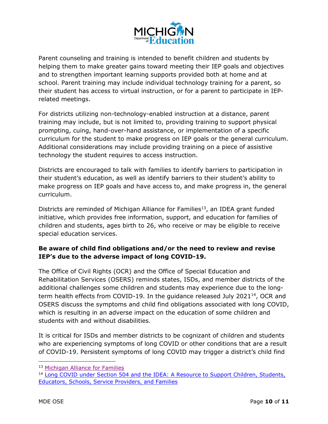

Parent counseling and training is intended to benefit children and students by helping them to make greater gains toward meeting their IEP goals and objectives and to strengthen important learning supports provided both at home and at school. Parent training may include individual technology training for a parent, so their student has access to virtual instruction, or for a parent to participate in IEPrelated meetings.

For districts utilizing non-technology-enabled instruction at a distance, parent training may include, but is not limited to, providing training to support physical prompting, cuing, hand-over-hand assistance, or implementation of a specific curriculum for the student to make progress on IEP goals or the general curriculum. Additional considerations may include providing training on a piece of assistive technology the student requires to access instruction.

Districts are encouraged to talk with families to identify barriers to participation in their student's education, as well as identify barriers to their student's ability to make progress on IEP goals and have access to, and make progress in, the general curriculum.

Districts are reminded of Michigan Alliance for Families<sup>[13](#page-9-0)</sup>, an IDEA grant funded initiative, which provides free information, support, and education for families of children and students, ages birth to 26, who receive or may be eligible to receive special education services.

#### **Be aware of child find obligations and/or the need to review and revise IEP's due to the adverse impact of long COVID-19.**

The Office of Civil Rights (OCR) and the Office of Special Education and Rehabilitation Services (OSERS) reminds states, ISDs, and member districts of the additional challenges some children and students may experience due to the long-term health effects from COVID-19. In the guidance released July 2021<sup>[14](#page-9-1)</sup>, OCR and OSERS discuss the symptoms and child find obligations associated with long COVID, which is resulting in an adverse impact on the education of some children and students with and without disabilities.

It is critical for ISDs and member districts to be cognizant of children and students who are experiencing symptoms of long COVID or other conditions that are a result of COVID-19. Persistent symptoms of long COVID may trigger a district's child find

<span id="page-9-0"></span>l <sup>13</sup> [Michigan Alliance for Families](https://www.michiganallianceforfamilies.org/)

<span id="page-9-1"></span><sup>&</sup>lt;sup>14</sup> Long COVID under Section 504 and the IDEA: A Resource to Support Children, Students, [Educators, Schools, Service Providers, and Families](https://www2.ed.gov/about/offices/list/ocr/docs/ocr-factsheet-504-20210726.pdf)